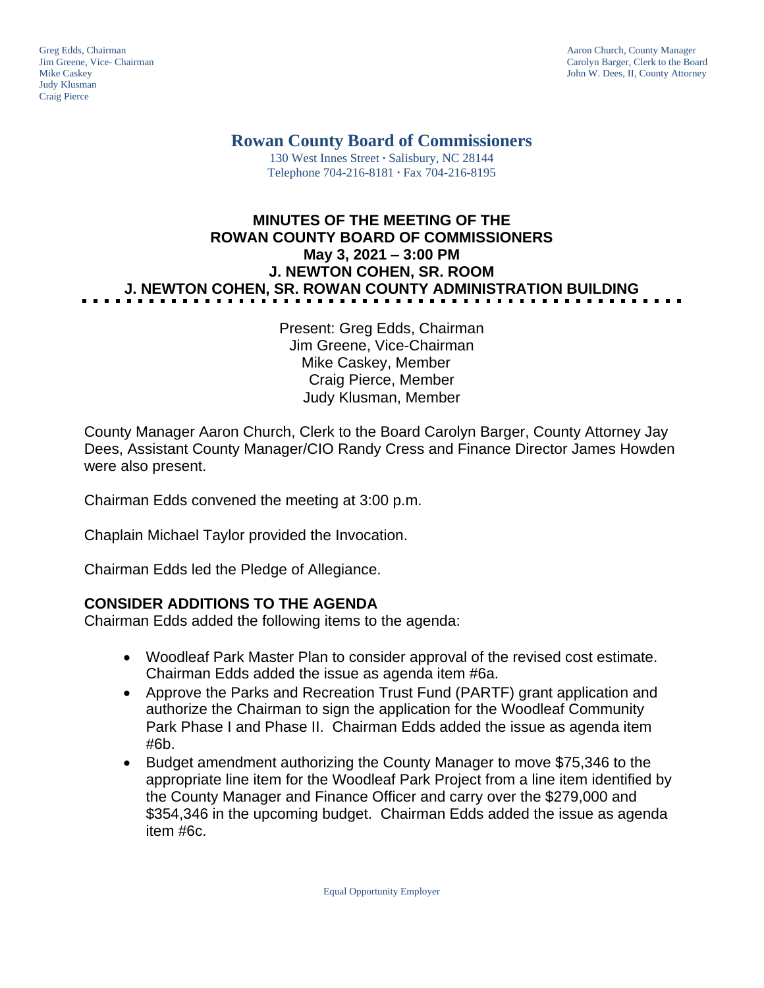Judy Klusman Craig Pierce

Greg Edds, Chairman Aaron Church, County Manager<br>
Jim Greene, Vice- Chairman Aaron Church, County Manager<br>
Carolyn Barger, Clerk to the Boa Jim Greene, Vice- Chairman Carolyn Barger, Clerk to the Board John W. Dees, II, County Attorney

**Rowan County Board of Commissioners**

130 West Innes Street **∙** Salisbury, NC 28144 Telephone 704-216-8181 **∙** Fax 704-216-8195

# **MINUTES OF THE MEETING OF THE ROWAN COUNTY BOARD OF COMMISSIONERS May 3, 2021 – 3:00 PM J. NEWTON COHEN, SR. ROOM J. NEWTON COHEN, SR. ROWAN COUNTY ADMINISTRATION BUILDING**

Present: Greg Edds, Chairman Jim Greene, Vice-Chairman Mike Caskey, Member Craig Pierce, Member Judy Klusman, Member

County Manager Aaron Church, Clerk to the Board Carolyn Barger, County Attorney Jay Dees, Assistant County Manager/CIO Randy Cress and Finance Director James Howden were also present.

Chairman Edds convened the meeting at 3:00 p.m.

Chaplain Michael Taylor provided the Invocation.

Chairman Edds led the Pledge of Allegiance.

#### **CONSIDER ADDITIONS TO THE AGENDA**

Chairman Edds added the following items to the agenda:

- Woodleaf Park Master Plan to consider approval of the revised cost estimate. Chairman Edds added the issue as agenda item #6a.
- Approve the Parks and Recreation Trust Fund (PARTF) grant application and authorize the Chairman to sign the application for the Woodleaf Community Park Phase I and Phase II. Chairman Edds added the issue as agenda item #6b.
- Budget amendment authorizing the County Manager to move \$75,346 to the appropriate line item for the Woodleaf Park Project from a line item identified by the County Manager and Finance Officer and carry over the \$279,000 and \$354,346 in the upcoming budget. Chairman Edds added the issue as agenda item #6c.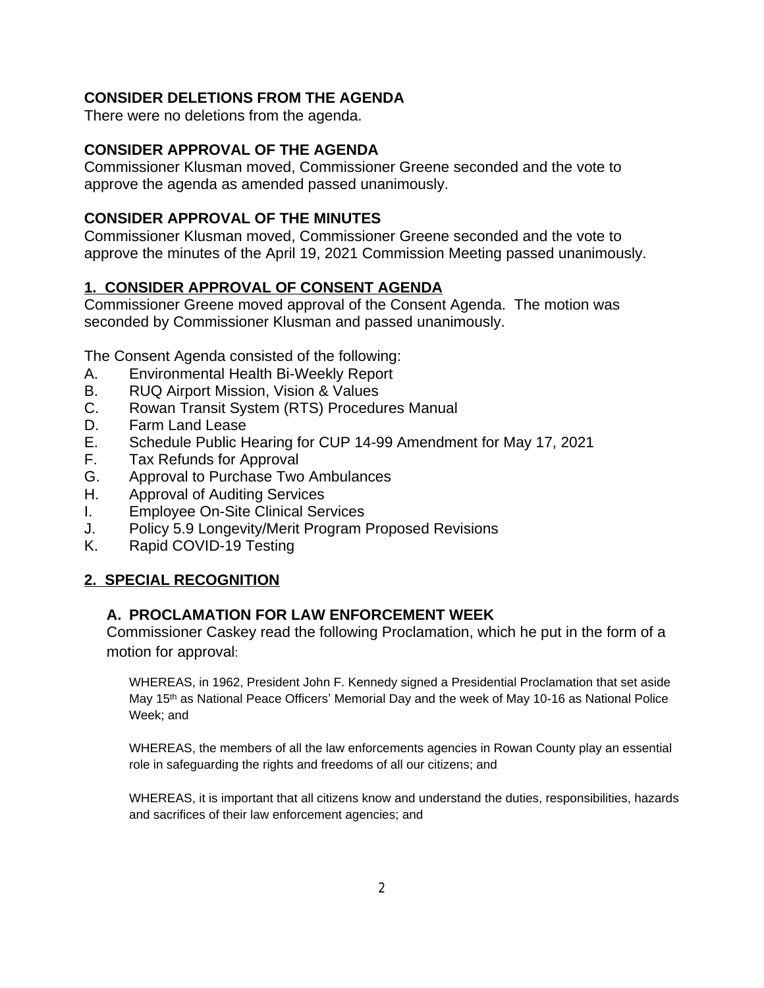### **CONSIDER DELETIONS FROM THE AGENDA**

There were no deletions from the agenda.

#### **CONSIDER APPROVAL OF THE AGENDA**

Commissioner Klusman moved, Commissioner Greene seconded and the vote to approve the agenda as amended passed unanimously.

#### **CONSIDER APPROVAL OF THE MINUTES**

Commissioner Klusman moved, Commissioner Greene seconded and the vote to approve the minutes of the April 19, 2021 Commission Meeting passed unanimously.

### **1. CONSIDER APPROVAL OF CONSENT AGENDA**

Commissioner Greene moved approval of the Consent Agenda. The motion was seconded by Commissioner Klusman and passed unanimously.

The Consent Agenda consisted of the following:

- A. Environmental Health Bi-Weekly Report
- B. RUQ Airport Mission, Vision & Values
- C. Rowan Transit System (RTS) Procedures Manual
- D. Farm Land Lease
- E. Schedule Public Hearing for CUP 14-99 Amendment for May 17, 2021
- F. Tax Refunds for Approval
- G. Approval to Purchase Two Ambulances
- H. Approval of Auditing Services
- I. Employee On-Site Clinical Services
- J. Policy 5.9 Longevity/Merit Program Proposed Revisions
- K. Rapid COVID-19 Testing

# **2. SPECIAL RECOGNITION**

#### **A. PROCLAMATION FOR LAW ENFORCEMENT WEEK**

Commissioner Caskey read the following Proclamation, which he put in the form of a motion for approval:

WHEREAS, in 1962, President John F. Kennedy signed a Presidential Proclamation that set aside May 15<sup>th</sup> as National Peace Officers' Memorial Day and the week of May 10-16 as National Police Week; and

WHEREAS, the members of all the law enforcements agencies in Rowan County play an essential role in safeguarding the rights and freedoms of all our citizens; and

WHEREAS, it is important that all citizens know and understand the duties, responsibilities, hazards and sacrifices of their law enforcement agencies; and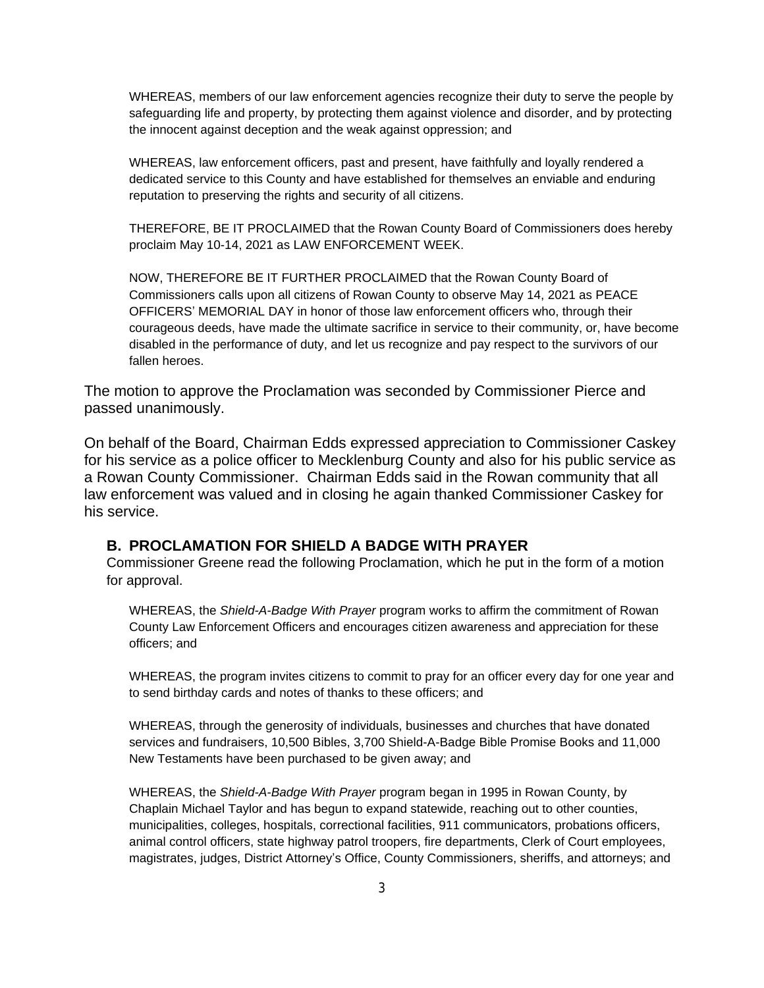WHEREAS, members of our law enforcement agencies recognize their duty to serve the people by safeguarding life and property, by protecting them against violence and disorder, and by protecting the innocent against deception and the weak against oppression; and

WHEREAS, law enforcement officers, past and present, have faithfully and loyally rendered a dedicated service to this County and have established for themselves an enviable and enduring reputation to preserving the rights and security of all citizens.

THEREFORE, BE IT PROCLAIMED that the Rowan County Board of Commissioners does hereby proclaim May 10-14, 2021 as LAW ENFORCEMENT WEEK.

NOW, THEREFORE BE IT FURTHER PROCLAIMED that the Rowan County Board of Commissioners calls upon all citizens of Rowan County to observe May 14, 2021 as PEACE OFFICERS' MEMORIAL DAY in honor of those law enforcement officers who, through their courageous deeds, have made the ultimate sacrifice in service to their community, or, have become disabled in the performance of duty, and let us recognize and pay respect to the survivors of our fallen heroes.

The motion to approve the Proclamation was seconded by Commissioner Pierce and passed unanimously.

On behalf of the Board, Chairman Edds expressed appreciation to Commissioner Caskey for his service as a police officer to Mecklenburg County and also for his public service as a Rowan County Commissioner. Chairman Edds said in the Rowan community that all law enforcement was valued and in closing he again thanked Commissioner Caskey for his service.

#### **B. PROCLAMATION FOR SHIELD A BADGE WITH PRAYER**

Commissioner Greene read the following Proclamation, which he put in the form of a motion for approval.

WHEREAS, the *Shield-A-Badge With Prayer* program works to affirm the commitment of Rowan County Law Enforcement Officers and encourages citizen awareness and appreciation for these officers; and

WHEREAS, the program invites citizens to commit to pray for an officer every day for one year and to send birthday cards and notes of thanks to these officers; and

WHEREAS, through the generosity of individuals, businesses and churches that have donated services and fundraisers, 10,500 Bibles, 3,700 Shield-A-Badge Bible Promise Books and 11,000 New Testaments have been purchased to be given away; and

WHEREAS, the *Shield-A-Badge With Prayer* program began in 1995 in Rowan County, by Chaplain Michael Taylor and has begun to expand statewide, reaching out to other counties, municipalities, colleges, hospitals, correctional facilities, 911 communicators, probations officers, animal control officers, state highway patrol troopers, fire departments, Clerk of Court employees, magistrates, judges, District Attorney's Office, County Commissioners, sheriffs, and attorneys; and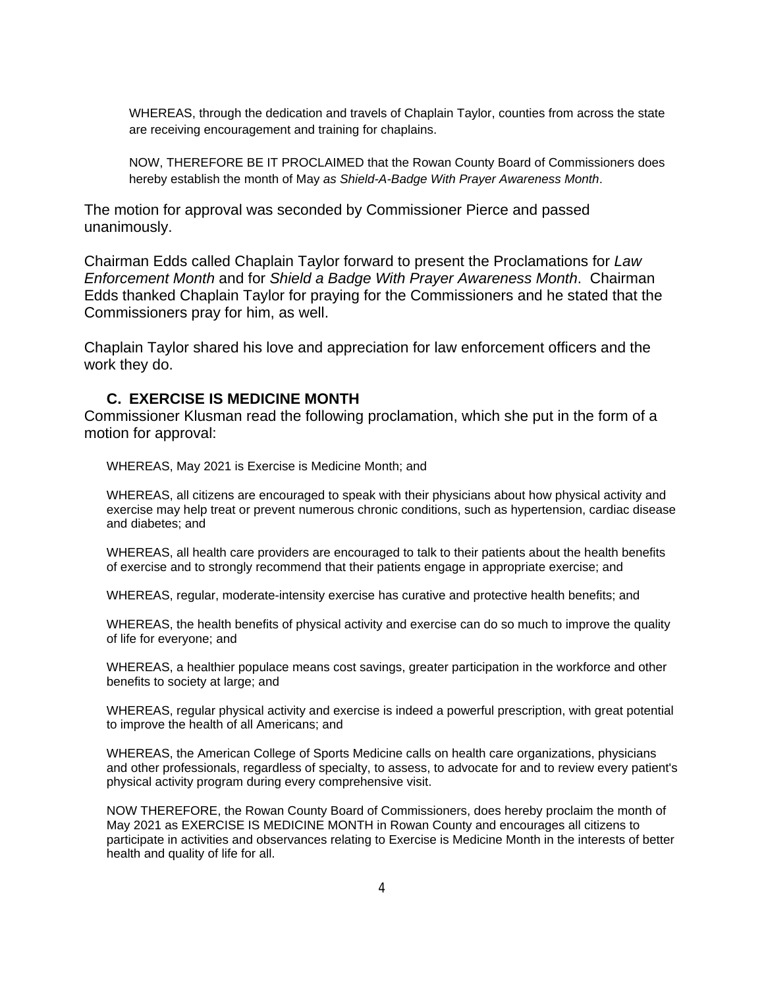WHEREAS, through the dedication and travels of Chaplain Taylor, counties from across the state are receiving encouragement and training for chaplains.

NOW, THEREFORE BE IT PROCLAIMED that the Rowan County Board of Commissioners does hereby establish the month of May *as Shield-A-Badge With Prayer Awareness Month*.

The motion for approval was seconded by Commissioner Pierce and passed unanimously.

Chairman Edds called Chaplain Taylor forward to present the Proclamations for *Law Enforcement Month* and for *Shield a Badge With Prayer Awareness Month*. Chairman Edds thanked Chaplain Taylor for praying for the Commissioners and he stated that the Commissioners pray for him, as well.

Chaplain Taylor shared his love and appreciation for law enforcement officers and the work they do.

#### **C. EXERCISE IS MEDICINE MONTH**

Commissioner Klusman read the following proclamation, which she put in the form of a motion for approval:

WHEREAS, May 2021 is Exercise is Medicine Month; and

WHEREAS, all citizens are encouraged to speak with their physicians about how physical activity and exercise may help treat or prevent numerous chronic conditions, such as hypertension, cardiac disease and diabetes; and

WHEREAS, all health care providers are encouraged to talk to their patients about the health benefits of exercise and to strongly recommend that their patients engage in appropriate exercise; and

WHEREAS, regular, moderate-intensity exercise has curative and protective health benefits; and

WHEREAS, the health benefits of physical activity and exercise can do so much to improve the quality of life for everyone; and

WHEREAS, a healthier populace means cost savings, greater participation in the workforce and other benefits to society at large; and

WHEREAS, regular physical activity and exercise is indeed a powerful prescription, with great potential to improve the health of all Americans; and

WHEREAS, the American College of Sports Medicine calls on health care organizations, physicians and other professionals, regardless of specialty, to assess, to advocate for and to review every patient's physical activity program during every comprehensive visit.

NOW THEREFORE, the Rowan County Board of Commissioners, does hereby proclaim the month of May 2021 as EXERCISE IS MEDICINE MONTH in Rowan County and encourages all citizens to participate in activities and observances relating to Exercise is Medicine Month in the interests of better health and quality of life for all.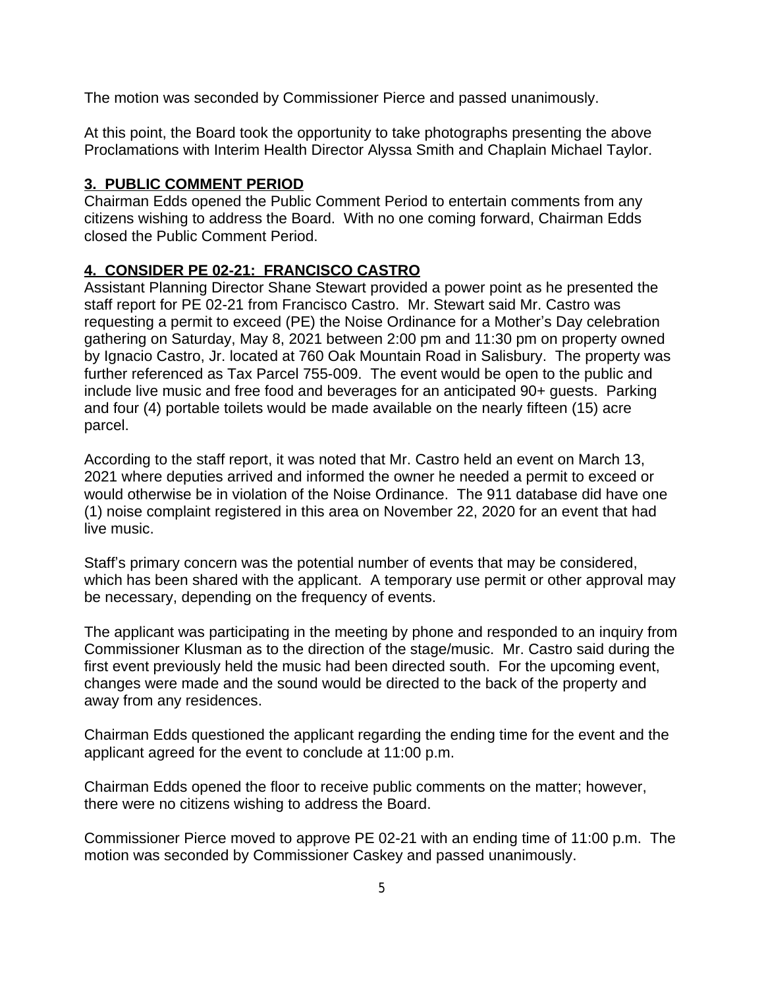The motion was seconded by Commissioner Pierce and passed unanimously.

At this point, the Board took the opportunity to take photographs presenting the above Proclamations with Interim Health Director Alyssa Smith and Chaplain Michael Taylor.

### **3. PUBLIC COMMENT PERIOD**

Chairman Edds opened the Public Comment Period to entertain comments from any citizens wishing to address the Board. With no one coming forward, Chairman Edds closed the Public Comment Period.

# **4. CONSIDER PE 02-21: FRANCISCO CASTRO**

Assistant Planning Director Shane Stewart provided a power point as he presented the staff report for PE 02-21 from Francisco Castro. Mr. Stewart said Mr. Castro was requesting a permit to exceed (PE) the Noise Ordinance for a Mother's Day celebration gathering on Saturday, May 8, 2021 between 2:00 pm and 11:30 pm on property owned by Ignacio Castro, Jr. located at 760 Oak Mountain Road in Salisbury. The property was further referenced as Tax Parcel 755-009. The event would be open to the public and include live music and free food and beverages for an anticipated 90+ guests. Parking and four (4) portable toilets would be made available on the nearly fifteen (15) acre parcel.

According to the staff report, it was noted that Mr. Castro held an event on March 13, 2021 where deputies arrived and informed the owner he needed a permit to exceed or would otherwise be in violation of the Noise Ordinance. The 911 database did have one (1) noise complaint registered in this area on November 22, 2020 for an event that had live music.

Staff's primary concern was the potential number of events that may be considered, which has been shared with the applicant. A temporary use permit or other approval may be necessary, depending on the frequency of events.

The applicant was participating in the meeting by phone and responded to an inquiry from Commissioner Klusman as to the direction of the stage/music. Mr. Castro said during the first event previously held the music had been directed south. For the upcoming event, changes were made and the sound would be directed to the back of the property and away from any residences.

Chairman Edds questioned the applicant regarding the ending time for the event and the applicant agreed for the event to conclude at 11:00 p.m.

Chairman Edds opened the floor to receive public comments on the matter; however, there were no citizens wishing to address the Board.

Commissioner Pierce moved to approve PE 02-21 with an ending time of 11:00 p.m. The motion was seconded by Commissioner Caskey and passed unanimously.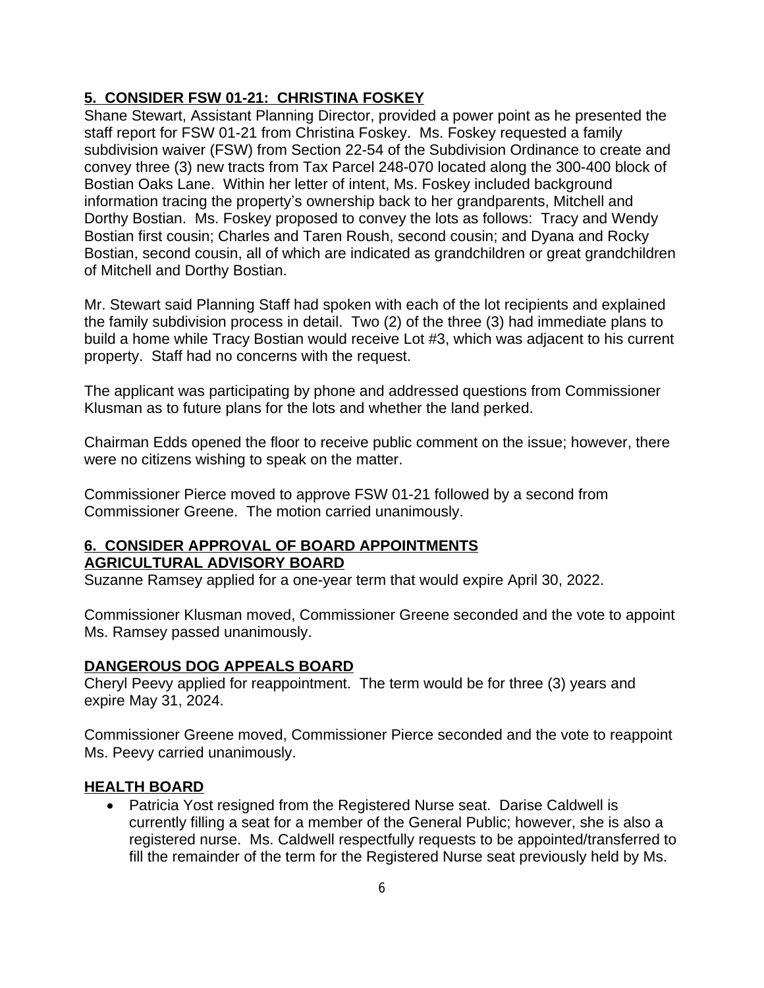### **5. CONSIDER FSW 01-21: CHRISTINA FOSKEY**

Shane Stewart, Assistant Planning Director, provided a power point as he presented the staff report for FSW 01-21 from Christina Foskey. Ms. Foskey requested a family subdivision waiver (FSW) from Section 22-54 of the Subdivision Ordinance to create and convey three (3) new tracts from Tax Parcel 248-070 located along the 300-400 block of Bostian Oaks Lane. Within her letter of intent, Ms. Foskey included background information tracing the property's ownership back to her grandparents, Mitchell and Dorthy Bostian. Ms. Foskey proposed to convey the lots as follows: Tracy and Wendy Bostian first cousin; Charles and Taren Roush, second cousin; and Dyana and Rocky Bostian, second cousin, all of which are indicated as grandchildren or great grandchildren of Mitchell and Dorthy Bostian.

Mr. Stewart said Planning Staff had spoken with each of the lot recipients and explained the family subdivision process in detail. Two (2) of the three (3) had immediate plans to build a home while Tracy Bostian would receive Lot #3, which was adjacent to his current property. Staff had no concerns with the request.

The applicant was participating by phone and addressed questions from Commissioner Klusman as to future plans for the lots and whether the land perked.

Chairman Edds opened the floor to receive public comment on the issue; however, there were no citizens wishing to speak on the matter.

Commissioner Pierce moved to approve FSW 01-21 followed by a second from Commissioner Greene. The motion carried unanimously.

#### **6. CONSIDER APPROVAL OF BOARD APPOINTMENTS AGRICULTURAL ADVISORY BOARD**

Suzanne Ramsey applied for a one-year term that would expire April 30, 2022.

Commissioner Klusman moved, Commissioner Greene seconded and the vote to appoint Ms. Ramsey passed unanimously.

#### **DANGEROUS DOG APPEALS BOARD**

Cheryl Peevy applied for reappointment. The term would be for three (3) years and expire May 31, 2024.

Commissioner Greene moved, Commissioner Pierce seconded and the vote to reappoint Ms. Peevy carried unanimously.

#### **HEALTH BOARD**

 Patricia Yost resigned from the Registered Nurse seat. Darise Caldwell is currently filling a seat for a member of the General Public; however, she is also a registered nurse. Ms. Caldwell respectfully requests to be appointed/transferred to fill the remainder of the term for the Registered Nurse seat previously held by Ms.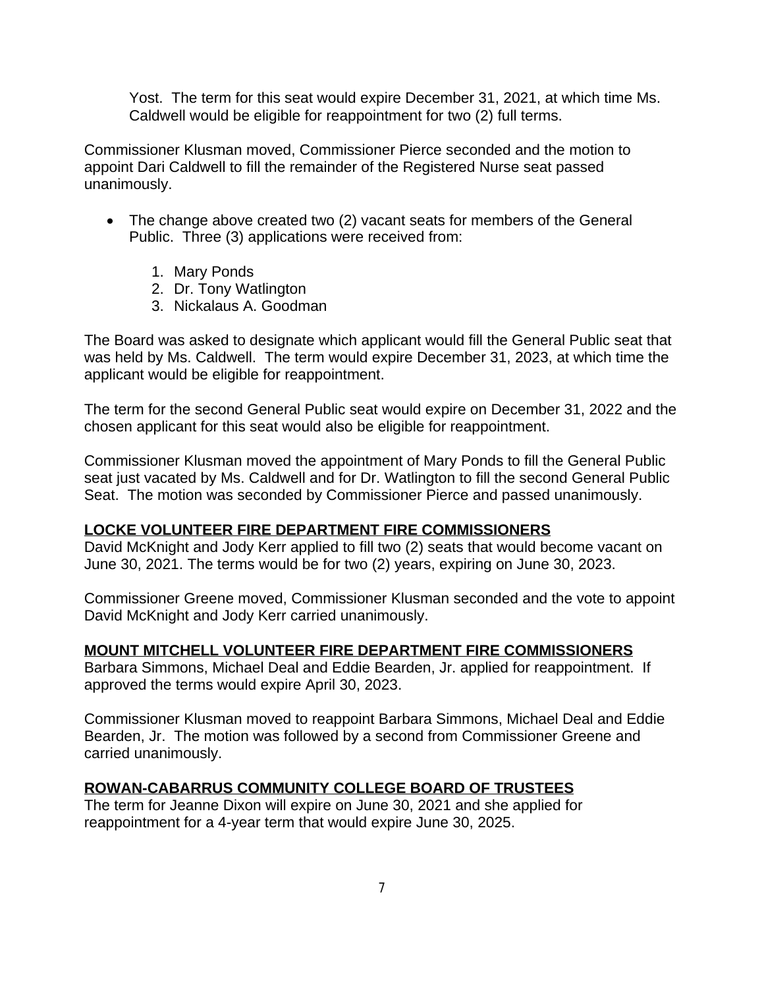Yost. The term for this seat would expire December 31, 2021, at which time Ms. Caldwell would be eligible for reappointment for two (2) full terms.

Commissioner Klusman moved, Commissioner Pierce seconded and the motion to appoint Dari Caldwell to fill the remainder of the Registered Nurse seat passed unanimously.

- The change above created two (2) vacant seats for members of the General Public. Three (3) applications were received from:
	- 1. Mary Ponds
	- 2. Dr. Tony Watlington
	- 3. Nickalaus A. Goodman

The Board was asked to designate which applicant would fill the General Public seat that was held by Ms. Caldwell. The term would expire December 31, 2023, at which time the applicant would be eligible for reappointment.

The term for the second General Public seat would expire on December 31, 2022 and the chosen applicant for this seat would also be eligible for reappointment.

Commissioner Klusman moved the appointment of Mary Ponds to fill the General Public seat just vacated by Ms. Caldwell and for Dr. Watlington to fill the second General Public Seat. The motion was seconded by Commissioner Pierce and passed unanimously.

#### **LOCKE VOLUNTEER FIRE DEPARTMENT FIRE COMMISSIONERS**

David McKnight and Jody Kerr applied to fill two (2) seats that would become vacant on June 30, 2021. The terms would be for two (2) years, expiring on June 30, 2023.

Commissioner Greene moved, Commissioner Klusman seconded and the vote to appoint David McKnight and Jody Kerr carried unanimously.

#### **MOUNT MITCHELL VOLUNTEER FIRE DEPARTMENT FIRE COMMISSIONERS**

Barbara Simmons, Michael Deal and Eddie Bearden, Jr. applied for reappointment. If approved the terms would expire April 30, 2023.

Commissioner Klusman moved to reappoint Barbara Simmons, Michael Deal and Eddie Bearden, Jr. The motion was followed by a second from Commissioner Greene and carried unanimously.

#### **ROWAN-CABARRUS COMMUNITY COLLEGE BOARD OF TRUSTEES**

The term for Jeanne Dixon will expire on June 30, 2021 and she applied for reappointment for a 4-year term that would expire June 30, 2025.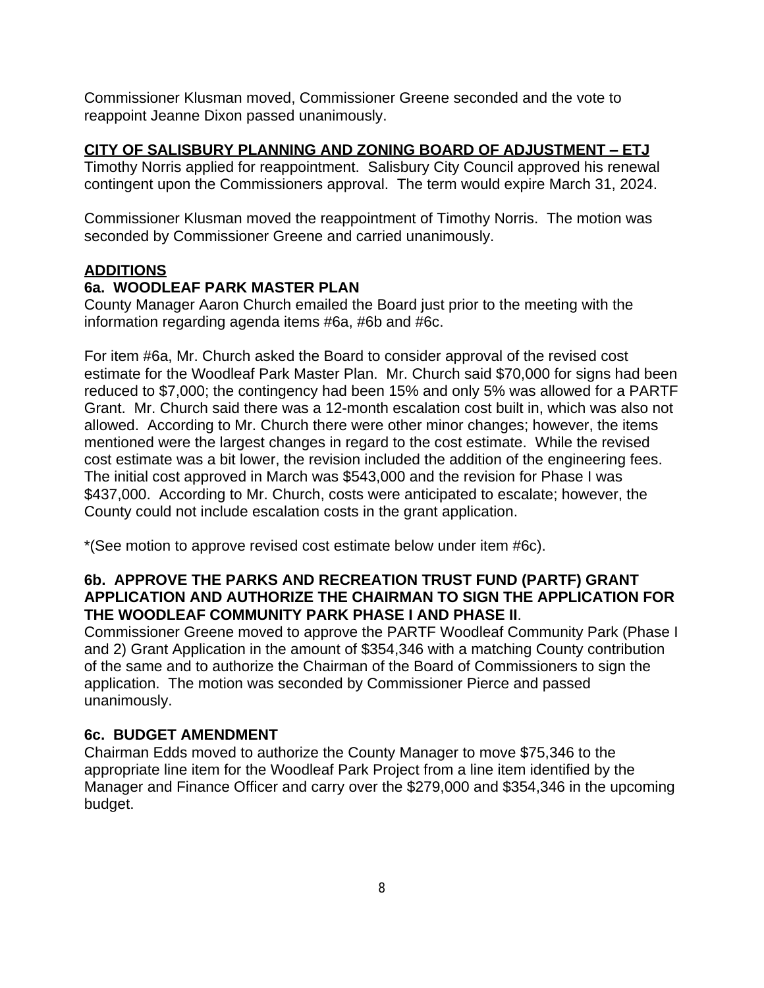Commissioner Klusman moved, Commissioner Greene seconded and the vote to reappoint Jeanne Dixon passed unanimously.

#### **CITY OF SALISBURY PLANNING AND ZONING BOARD OF ADJUSTMENT – ETJ**

Timothy Norris applied for reappointment. Salisbury City Council approved his renewal contingent upon the Commissioners approval. The term would expire March 31, 2024.

Commissioner Klusman moved the reappointment of Timothy Norris. The motion was seconded by Commissioner Greene and carried unanimously.

### **ADDITIONS**

### **6a. WOODLEAF PARK MASTER PLAN**

County Manager Aaron Church emailed the Board just prior to the meeting with the information regarding agenda items #6a, #6b and #6c.

For item #6a, Mr. Church asked the Board to consider approval of the revised cost estimate for the Woodleaf Park Master Plan. Mr. Church said \$70,000 for signs had been reduced to \$7,000; the contingency had been 15% and only 5% was allowed for a PARTF Grant. Mr. Church said there was a 12-month escalation cost built in, which was also not allowed. According to Mr. Church there were other minor changes; however, the items mentioned were the largest changes in regard to the cost estimate. While the revised cost estimate was a bit lower, the revision included the addition of the engineering fees. The initial cost approved in March was \$543,000 and the revision for Phase I was \$437,000. According to Mr. Church, costs were anticipated to escalate; however, the County could not include escalation costs in the grant application.

\*(See motion to approve revised cost estimate below under item #6c).

#### **6b. APPROVE THE PARKS AND RECREATION TRUST FUND (PARTF) GRANT APPLICATION AND AUTHORIZE THE CHAIRMAN TO SIGN THE APPLICATION FOR THE WOODLEAF COMMUNITY PARK PHASE I AND PHASE II**.

Commissioner Greene moved to approve the PARTF Woodleaf Community Park (Phase I and 2) Grant Application in the amount of \$354,346 with a matching County contribution of the same and to authorize the Chairman of the Board of Commissioners to sign the application. The motion was seconded by Commissioner Pierce and passed unanimously.

# **6c. BUDGET AMENDMENT**

Chairman Edds moved to authorize the County Manager to move \$75,346 to the appropriate line item for the Woodleaf Park Project from a line item identified by the Manager and Finance Officer and carry over the \$279,000 and \$354,346 in the upcoming budget.